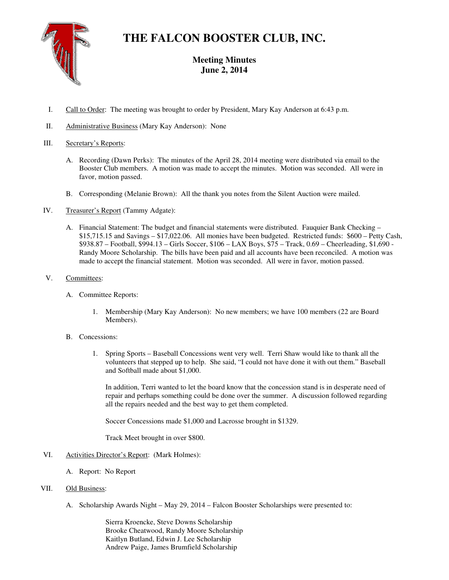

## **THE FALCON BOOSTER CLUB, INC.**

### **Meeting Minutes June 2, 2014**

- I. Call to Order: The meeting was brought to order by President, Mary Kay Anderson at 6:43 p.m.
- II. Administrative Business (Mary Kay Anderson): None

#### III. Secretary's Reports:

- A. Recording (Dawn Perks): The minutes of the April 28, 2014 meeting were distributed via email to the Booster Club members. A motion was made to accept the minutes. Motion was seconded. All were in favor, motion passed.
- B. Corresponding (Melanie Brown): All the thank you notes from the Silent Auction were mailed.
- IV. Treasurer's Report (Tammy Adgate):
	- A. Financial Statement: The budget and financial statements were distributed. Fauquier Bank Checking \$15,715.15 and Savings – \$17,022.06. All monies have been budgeted. Restricted funds: \$600 – Petty Cash, \$938.87 – Football, \$994.13 – Girls Soccer, \$106 – LAX Boys, \$75 – Track, 0.69 – Cheerleading, \$1,690 - Randy Moore Scholarship. The bills have been paid and all accounts have been reconciled. A motion was made to accept the financial statement. Motion was seconded. All were in favor, motion passed.
- V. Committees:
	- A. Committee Reports:
		- 1. Membership (Mary Kay Anderson): No new members; we have 100 members (22 are Board Members).
	- B. Concessions:
		- 1. Spring Sports Baseball Concessions went very well. Terri Shaw would like to thank all the volunteers that stepped up to help. She said, "I could not have done it with out them." Baseball and Softball made about \$1,000.

In addition, Terri wanted to let the board know that the concession stand is in desperate need of repair and perhaps something could be done over the summer. A discussion followed regarding all the repairs needed and the best way to get them completed.

Soccer Concessions made \$1,000 and Lacrosse brought in \$1329.

Track Meet brought in over \$800.

- VI. Activities Director's Report: (Mark Holmes):
	- A. Report: No Report

#### VII. Old Business:

A. Scholarship Awards Night – May 29, 2014 – Falcon Booster Scholarships were presented to:

Sierra Kroencke, Steve Downs Scholarship Brooke Cheatwood, Randy Moore Scholarship Kaitlyn Butland, Edwin J. Lee Scholarship Andrew Paige, James Brumfield Scholarship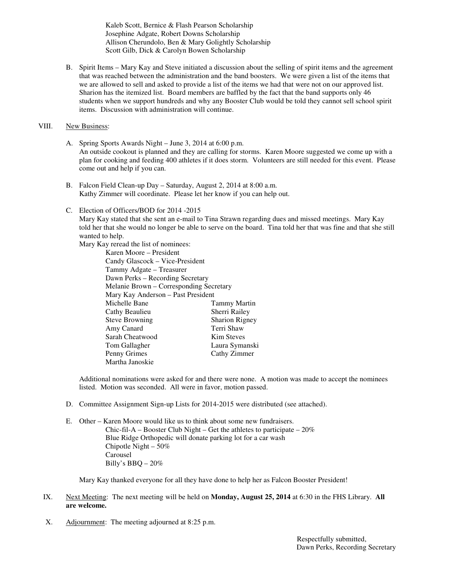Kaleb Scott, Bernice & Flash Pearson Scholarship Josephine Adgate, Robert Downs Scholarship Allison Cherundolo, Ben & Mary Golightly Scholarship Scott Gilb, Dick & Carolyn Bowen Scholarship

B. Spirit Items – Mary Kay and Steve initiated a discussion about the selling of spirit items and the agreement that was reached between the administration and the band boosters. We were given a list of the items that we are allowed to sell and asked to provide a list of the items we had that were not on our approved list. Sharion has the itemized list. Board members are baffled by the fact that the band supports only 46 students when we support hundreds and why any Booster Club would be told they cannot sell school spirit items. Discussion with administration will continue.

#### VIII. New Business:

- A. Spring Sports Awards Night June 3, 2014 at 6:00 p.m. An outside cookout is planned and they are calling for storms. Karen Moore suggested we come up with a plan for cooking and feeding 400 athletes if it does storm. Volunteers are still needed for this event. Please come out and help if you can.
- B. Falcon Field Clean-up Day Saturday, August 2, 2014 at 8:00 a.m. Kathy Zimmer will coordinate. Please let her know if you can help out.
- C. Election of Officers/BOD for 2014 -2015

Mary Kay stated that she sent an e-mail to Tina Strawn regarding dues and missed meetings. Mary Kay told her that she would no longer be able to serve on the board. Tina told her that was fine and that she still wanted to help.

Mary Kay reread the list of nominees:

Karen Moore – President Candy Glascock – Vice-President Tammy Adgate – Treasurer Dawn Perks – Recording Secretary Melanie Brown – Corresponding Secretary Mary Kay Anderson – Past President Tammy Martin Cathy Beaulieu Sherri Railey Steve Browning Sharion Rigney Amy Canard Terri Shaw Sarah Cheatwood Kim Steves Tom Gallagher Laura Symanski Penny Grimes Cathy Zimmer Martha Janoskie

Additional nominations were asked for and there were none. A motion was made to accept the nominees listed. Motion was seconded. All were in favor, motion passed.

- D. Committee Assignment Sign-up Lists for 2014-2015 were distributed (see attached).
- E. Other Karen Moore would like us to think about some new fundraisers. Chic-fil-A – Booster Club Night – Get the athletes to participate –  $20\%$ Blue Ridge Orthopedic will donate parking lot for a car wash Chipotle Night – 50% Carousel Billy's BBQ – 20%

Mary Kay thanked everyone for all they have done to help her as Falcon Booster President!

- IX. Next Meeting: The next meeting will be held on **Monday, August 25, 2014** at 6:30 in the FHS Library. **All are welcome.**
- X. Adjournment: The meeting adjourned at 8:25 p.m.